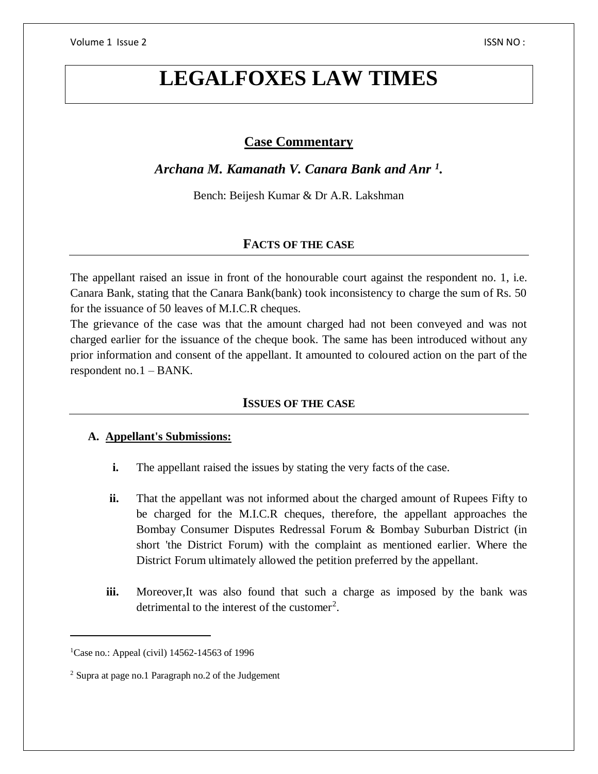# **Case Commentary**

*Archana M. Kamanath V. Canara Bank and Anr <sup>1</sup> .*

Bench: Beijesh Kumar & Dr A.R. Lakshman

# **FACTS OF THE CASE**

The appellant raised an issue in front of the honourable court against the respondent no. 1, i.e. Canara Bank, stating that the Canara Bank(bank) took inconsistency to charge the sum of Rs. 50 for the issuance of 50 leaves of M.I.C.R cheques.

The grievance of the case was that the amount charged had not been conveyed and was not charged earlier for the issuance of the cheque book. The same has been introduced without any prior information and consent of the appellant. It amounted to coloured action on the part of the respondent no.1 – BANK.

## **ISSUES OF THE CASE**

## **A. Appellant's Submissions:**

- **i.** The appellant raised the issues by stating the very facts of the case.
- **ii.** That the appellant was not informed about the charged amount of Rupees Fifty to be charged for the M.I.C.R cheques, therefore, the appellant approaches the Bombay Consumer Disputes Redressal Forum & Bombay Suburban District (in short 'the District Forum) with the complaint as mentioned earlier. Where the District Forum ultimately allowed the petition preferred by the appellant.
- **iii.** Moreover, It was also found that such a charge as imposed by the bank was detrimental to the interest of the customer<sup>2</sup>.

 $\overline{\phantom{a}}$ 

<sup>&</sup>lt;sup>1</sup>Case no.: Appeal (civil) 14562-14563 of 1996

<sup>2</sup> Supra at page no.1 Paragraph no.2 of the Judgement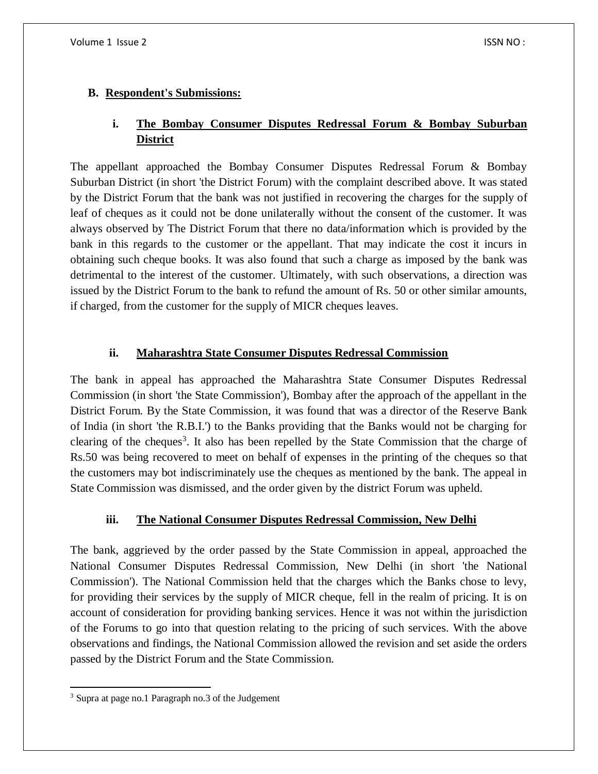# **B. Respondent's Submissions:**

# **i. The Bombay Consumer Disputes Redressal Forum & Bombay Suburban District**

The appellant approached the Bombay Consumer Disputes Redressal Forum & Bombay Suburban District (in short 'the District Forum) with the complaint described above. It was stated by the District Forum that the bank was not justified in recovering the charges for the supply of leaf of cheques as it could not be done unilaterally without the consent of the customer. It was always observed by The District Forum that there no data/information which is provided by the bank in this regards to the customer or the appellant. That may indicate the cost it incurs in obtaining such cheque books. It was also found that such a charge as imposed by the bank was detrimental to the interest of the customer. Ultimately, with such observations, a direction was issued by the District Forum to the bank to refund the amount of Rs. 50 or other similar amounts, if charged, from the customer for the supply of MICR cheques leaves.

# **ii. Maharashtra State Consumer Disputes Redressal Commission**

The bank in appeal has approached the Maharashtra State Consumer Disputes Redressal Commission (in short 'the State Commission'), Bombay after the approach of the appellant in the District Forum. By the State Commission, it was found that was a director of the Reserve Bank of India (in short 'the R.B.I.') to the Banks providing that the Banks would not be charging for clearing of the cheques<sup>3</sup>. It also has been repelled by the State Commission that the charge of Rs.50 was being recovered to meet on behalf of expenses in the printing of the cheques so that the customers may bot indiscriminately use the cheques as mentioned by the bank. The appeal in State Commission was dismissed, and the order given by the district Forum was upheld.

# **iii. The National Consumer Disputes Redressal Commission, New Delhi**

The bank, aggrieved by the order passed by the State Commission in appeal, approached the National Consumer Disputes Redressal Commission, New Delhi (in short 'the National Commission'). The National Commission held that the charges which the Banks chose to levy, for providing their services by the supply of MICR cheque, fell in the realm of pricing. It is on account of consideration for providing banking services. Hence it was not within the jurisdiction of the Forums to go into that question relating to the pricing of such services. With the above observations and findings, the National Commission allowed the revision and set aside the orders passed by the District Forum and the State Commission.

 $\overline{a}$ <sup>3</sup> Supra at page no.1 Paragraph no.3 of the Judgement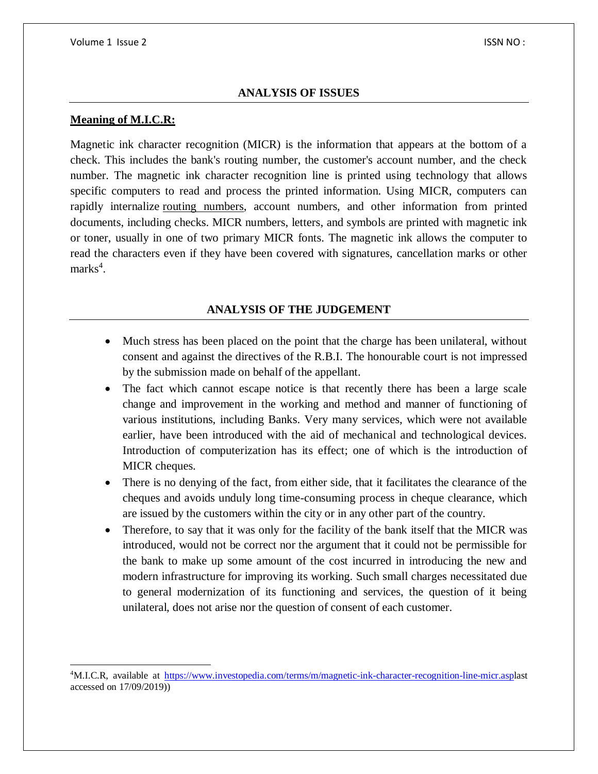#### **ANALYSIS OF ISSUES**

#### **Meaning of M.I.C.R:**

 $\overline{a}$ 

Magnetic ink character recognition (MICR) is the information that appears at the bottom of a check. This includes the bank's routing number, the customer's account number, and the check number. The magnetic ink character recognition line is printed using technology that allows specific computers to read and process the printed information. Using MICR, computers can rapidly internalize [routing numbers,](https://www.investopedia.com/terms/r/routing_transit_number.asp) account numbers, and other information from printed documents, including checks. MICR numbers, letters, and symbols are printed with magnetic ink or toner, usually in one of two primary MICR fonts. The magnetic ink allows the computer to read the characters even if they have been covered with signatures, cancellation marks or other marks<sup>4</sup>.

## **ANALYSIS OF THE JUDGEMENT**

- Much stress has been placed on the point that the charge has been unilateral, without consent and against the directives of the R.B.I. The honourable court is not impressed by the submission made on behalf of the appellant.
- The fact which cannot escape notice is that recently there has been a large scale change and improvement in the working and method and manner of functioning of various institutions, including Banks. Very many services, which were not available earlier, have been introduced with the aid of mechanical and technological devices. Introduction of computerization has its effect; one of which is the introduction of MICR cheques.
- There is no denying of the fact, from either side, that it facilitates the clearance of the cheques and avoids unduly long time-consuming process in cheque clearance, which are issued by the customers within the city or in any other part of the country.
- Therefore, to say that it was only for the facility of the bank itself that the MICR was introduced, would not be correct nor the argument that it could not be permissible for the bank to make up some amount of the cost incurred in introducing the new and modern infrastructure for improving its working. Such small charges necessitated due to general modernization of its functioning and services, the question of it being unilateral, does not arise nor the question of consent of each customer.

<sup>4</sup>M.I.C.R, available at [https://www.investopedia.com/terms/m/magnetic-ink-character-recognition-line-micr.aspl](https://www.investopedia.com/terms/m/magnetic-ink-character-recognition-line-micr.asp)ast accessed on 17/09/2019))